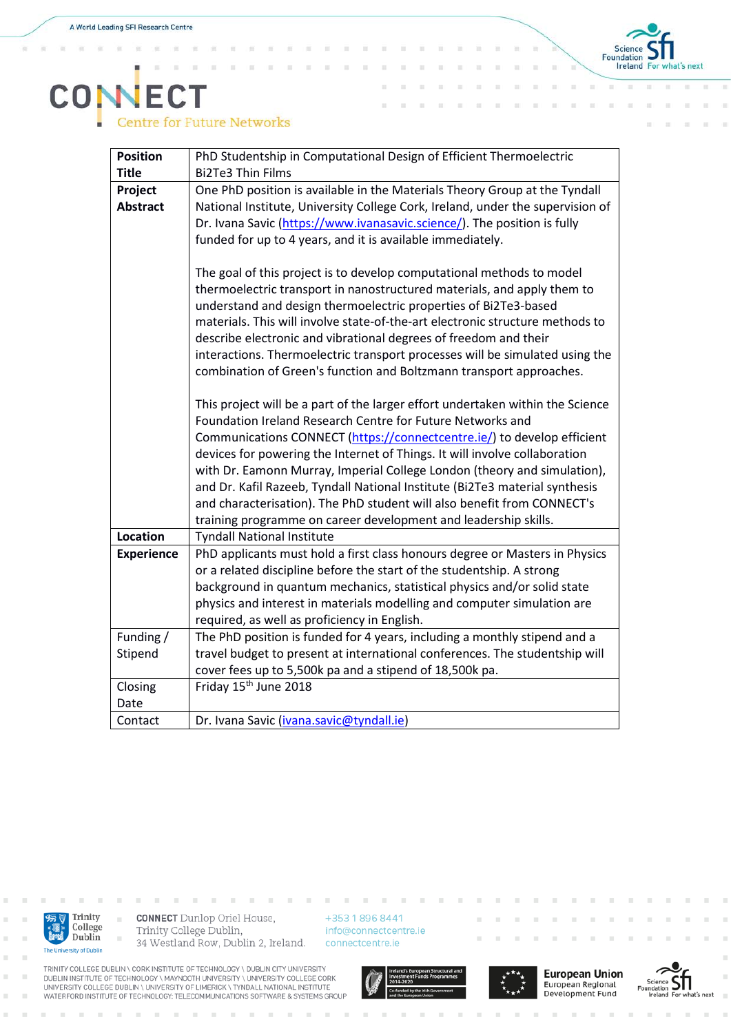'n **i**  x

x



## **CONECT**<br>Centre for Future Networks

| <b>Position</b>   | PhD Studentship in Computational Design of Efficient Thermoelectric            |
|-------------------|--------------------------------------------------------------------------------|
| <b>Title</b>      | <b>Bi2Te3 Thin Films</b>                                                       |
| Project           | One PhD position is available in the Materials Theory Group at the Tyndall     |
| <b>Abstract</b>   | National Institute, University College Cork, Ireland, under the supervision of |
|                   | Dr. Ivana Savic (https://www.ivanasavic.science/). The position is fully       |
|                   | funded for up to 4 years, and it is available immediately.                     |
|                   |                                                                                |
|                   | The goal of this project is to develop computational methods to model          |
|                   | thermoelectric transport in nanostructured materials, and apply them to        |
|                   | understand and design thermoelectric properties of Bi2Te3-based                |
|                   | materials. This will involve state-of-the-art electronic structure methods to  |
|                   | describe electronic and vibrational degrees of freedom and their               |
|                   | interactions. Thermoelectric transport processes will be simulated using the   |
|                   | combination of Green's function and Boltzmann transport approaches.            |
|                   |                                                                                |
|                   | This project will be a part of the larger effort undertaken within the Science |
|                   | Foundation Ireland Research Centre for Future Networks and                     |
|                   | Communications CONNECT (https://connectcentre.ie/) to develop efficient        |
|                   | devices for powering the Internet of Things. It will involve collaboration     |
|                   | with Dr. Eamonn Murray, Imperial College London (theory and simulation),       |
|                   | and Dr. Kafil Razeeb, Tyndall National Institute (Bi2Te3 material synthesis    |
|                   | and characterisation). The PhD student will also benefit from CONNECT's        |
|                   | training programme on career development and leadership skills.                |
| <b>Location</b>   | <b>Tyndall National Institute</b>                                              |
| <b>Experience</b> | PhD applicants must hold a first class honours degree or Masters in Physics    |
|                   | or a related discipline before the start of the studentship. A strong          |
|                   | background in quantum mechanics, statistical physics and/or solid state        |
|                   | physics and interest in materials modelling and computer simulation are        |
|                   | required, as well as proficiency in English.                                   |
| Funding /         | The PhD position is funded for 4 years, including a monthly stipend and a      |
| Stipend           | travel budget to present at international conferences. The studentship will    |
|                   | cover fees up to 5,500k pa and a stipend of 18,500k pa.                        |
| Closing           | Friday 15 <sup>th</sup> June 2018                                              |
| Date              |                                                                                |
| Contact           | Dr. Ivana Savic (ivana.savic@tyndall.ie)                                       |



ř.

×

**CONNECT** Dunlop Oriel House, Trinity College Dublin, 34 Westland Row, Dublin 2, Ireland.

+353 1 896 8441 info@connectcentre.ie connectcentre.ie









TRINITY COLLEGE DUBLIN \ CORK INSTITUTE OF TECHNOLOGY \ DUBLIN CITY UNIVERSITY<br>DUBLIN INSTITUTE OF TECHNOLOGY \ MAYNOOTH UNIVERSITY \ UNIVERSITY COLLEGE CORK<br>UNIVERSITY COLLEGE DUBLIN \ UNIVERSITY OF LIMERICK \ TYNDALL NAT